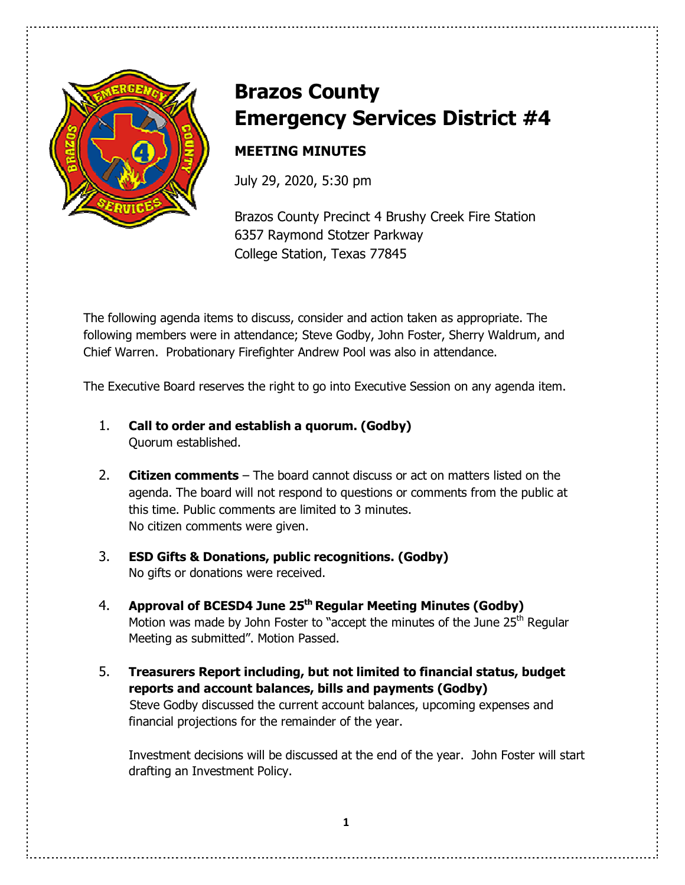

# **Brazos County Emergency Services District #4**

# **MEETING MINUTES**

July 29, 2020, 5:30 pm

Brazos County Precinct 4 Brushy Creek Fire Station 6357 Raymond Stotzer Parkway College Station, Texas 77845

The following agenda items to discuss, consider and action taken as appropriate. The following members were in attendance; Steve Godby, John Foster, Sherry Waldrum, and Chief Warren. Probationary Firefighter Andrew Pool was also in attendance.

The Executive Board reserves the right to go into Executive Session on any agenda item.

- 1. **Call to order and establish a quorum. (Godby)** Quorum established.
- 2. **Citizen comments** The board cannot discuss or act on matters listed on the agenda. The board will not respond to questions or comments from the public at this time. Public comments are limited to 3 minutes. No citizen comments were given.
- 3. **ESD Gifts & Donations, public recognitions. (Godby)** No gifts or donations were received.
- 4. **Approval of BCESD4 June 25th Regular Meeting Minutes (Godby)** Motion was made by John Foster to "accept the minutes of the June 25<sup>th</sup> Regular Meeting as submitted". Motion Passed.
- 5. **Treasurers Report including, but not limited to financial status, budget reports and account balances, bills and payments (Godby)**  Steve Godby discussed the current account balances, upcoming expenses and financial projections for the remainder of the year.

 Investment decisions will be discussed at the end of the year. John Foster will start drafting an Investment Policy.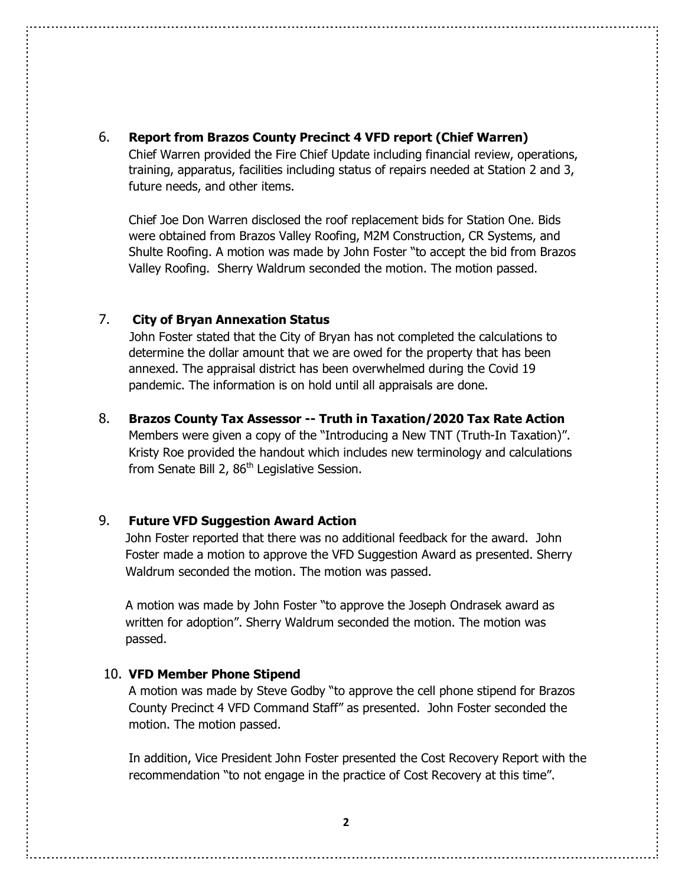6. **Report from Brazos County Precinct 4 VFD report (Chief Warren)**

 Chief Warren provided the Fire Chief Update including financial review, operations, training, apparatus, facilities including status of repairs needed at Station 2 and 3, future needs, and other items.

 Chief Joe Don Warren disclosed the roof replacement bids for Station One. Bids were obtained from Brazos Valley Roofing, M2M Construction, CR Systems, and Shulte Roofing. A motion was made by John Foster "to accept the bid from Brazos Valley Roofing. Sherry Waldrum seconded the motion. The motion passed.

#### 7. **City of Bryan Annexation Status**

 John Foster stated that the City of Bryan has not completed the calculations to determine the dollar amount that we are owed for the property that has been annexed. The appraisal district has been overwhelmed during the Covid 19 pandemic. The information is on hold until all appraisals are done.

8. **Brazos County Tax Assessor -- Truth in Taxation/2020 Tax Rate Action** 

Members were given a copy of the "Introducing a New TNT (Truth-In Taxation)". Kristy Roe provided the handout which includes new terminology and calculations from Senate Bill 2, 86<sup>th</sup> Legislative Session.

#### 9. **Future VFD Suggestion Award Action**

John Foster reported that there was no additional feedback for the award. John Foster made a motion to approve the VFD Suggestion Award as presented. Sherry Waldrum seconded the motion. The motion was passed.

A motion was made by John Foster "to approve the Joseph Ondrasek award as written for adoption". Sherry Waldrum seconded the motion. The motion was passed.

#### 10. **VFD Member Phone Stipend**

A motion was made by Steve Godby "to approve the cell phone stipend for Brazos County Precinct 4 VFD Command Staff" as presented. John Foster seconded the motion. The motion passed.

In addition, Vice President John Foster presented the Cost Recovery Report with the recommendation "to not engage in the practice of Cost Recovery at this time".